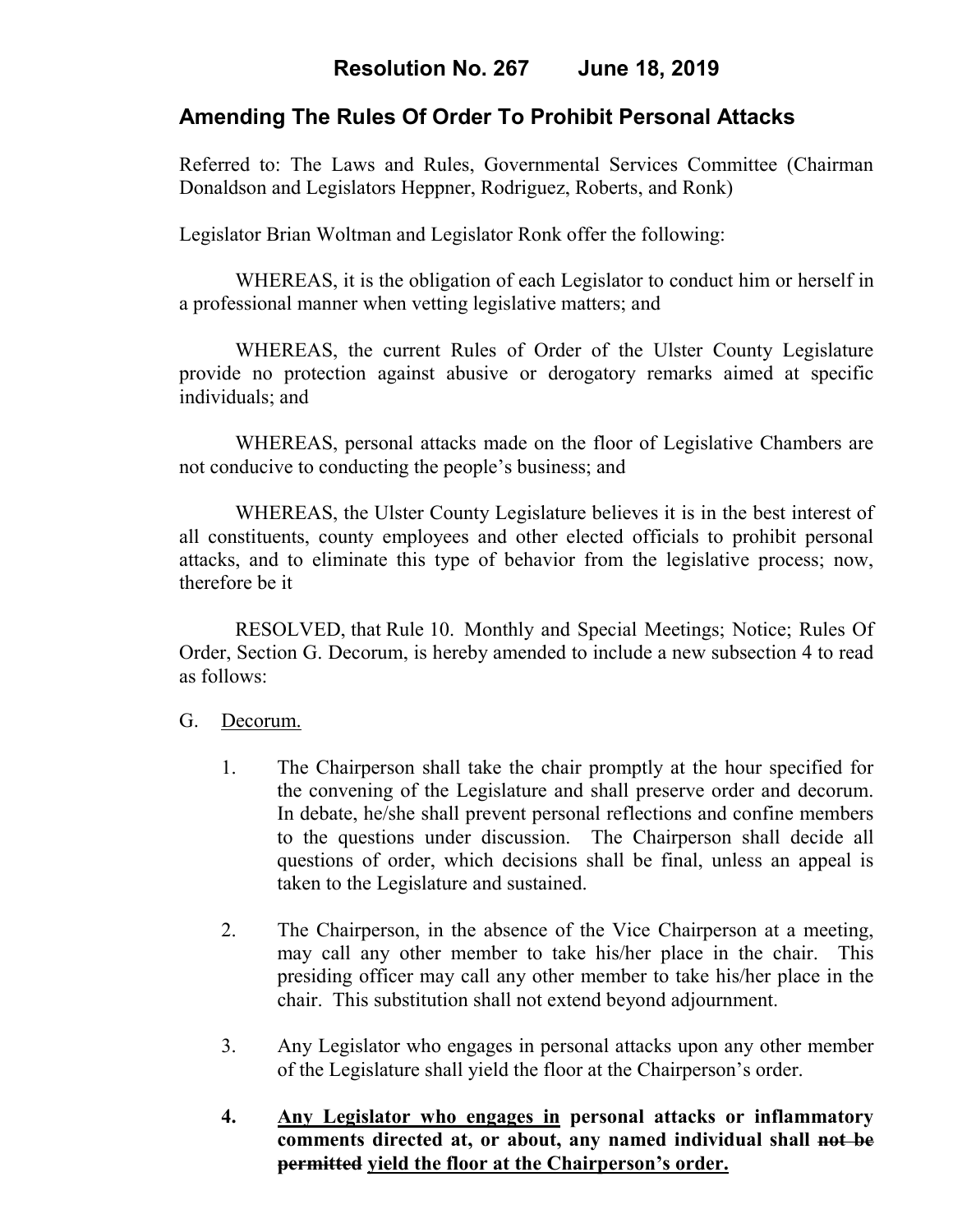# **Amending The Rules Of Order To Prohibit Personal Attacks**

Referred to: The Laws and Rules, Governmental Services Committee (Chairman Donaldson and Legislators Heppner, Rodriguez, Roberts, and Ronk)

Legislator Brian Woltman and Legislator Ronk offer the following:

WHEREAS, it is the obligation of each Legislator to conduct him or herself in a professional manner when vetting legislative matters; and

WHEREAS, the current Rules of Order of the Ulster County Legislature provide no protection against abusive or derogatory remarks aimed at specific individuals; and

WHEREAS, personal attacks made on the floor of Legislative Chambers are not conducive to conducting the people's business; and

WHEREAS, the Ulster County Legislature believes it is in the best interest of all constituents, county employees and other elected officials to prohibit personal attacks, and to eliminate this type of behavior from the legislative process; now, therefore be it

RESOLVED, that Rule 10. Monthly and Special Meetings; Notice; Rules Of Order, Section G. Decorum, is hereby amended to include a new subsection 4 to read as follows:

## G.Decorum.

- 1. The Chairperson shall take the chair promptly at the hour specified for the convening of the Legislature and shall preserve order and decorum. In debate, he/she shall prevent personal reflections and confine members to the questions under discussion. The Chairperson shall decide all questions of order, which decisions shall be final, unless an appeal is taken to the Legislature and sustained.
- 2. The Chairperson, in the absence of the Vice Chairperson at a meeting, may call any other member to take his/her place in the chair. This presiding officer may call any other member to take his/her place in the chair. This substitution shall not extend beyond adjournment.
- 3. Any Legislator who engages in personal attacks upon any other member of the Legislature shall yield the floor at the Chairperson's order.
- **4. Any Legislator who engages in personal attacks or inflammatory comments directed at, or about, any named individual shall not be permitted yield the floor at the Chairperson's order.**